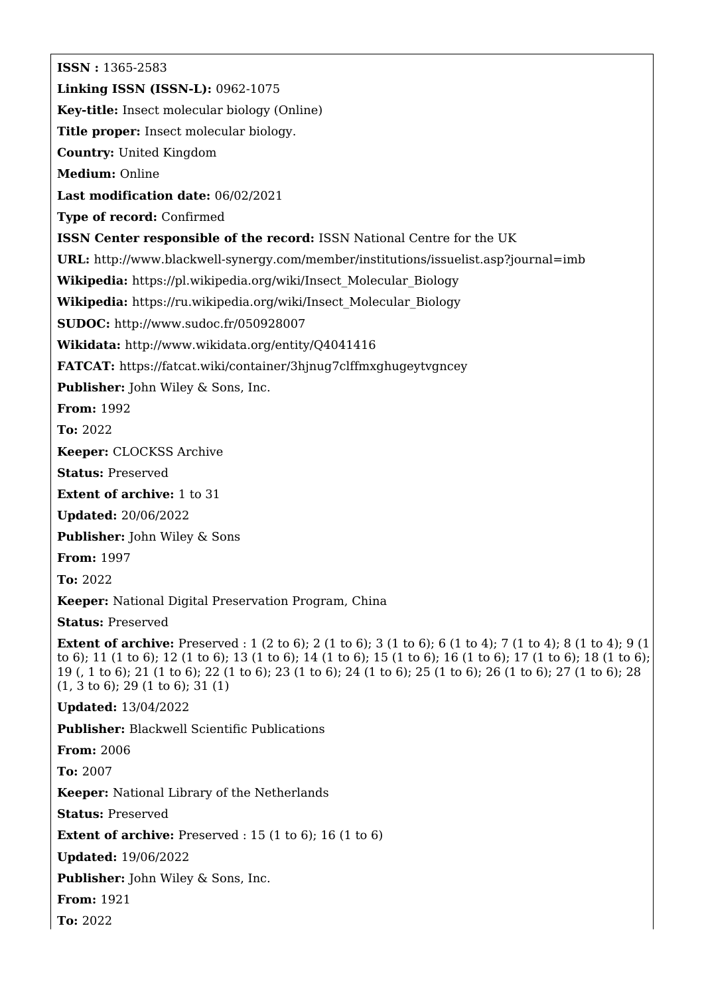**ISSN :** 1365-2583 **Linking ISSN (ISSN-L):** 0962-1075 **Key-title:** Insect molecular biology (Online) **Title proper:** Insect molecular biology. **Country:** United Kingdom **Medium:** Online **Last modification date:** 06/02/2021 **Type of record:** Confirmed **ISSN Center responsible of the record:** ISSN National Centre for the UK **URL:** <http://www.blackwell-synergy.com/member/institutions/issuelist.asp?journal=imb> **Wikipedia:** [https://pl.wikipedia.org/wiki/Insect\\_Molecular\\_Biology](https://pl.wikipedia.org/wiki/Insect_Molecular_Biology) **Wikipedia:** [https://ru.wikipedia.org/wiki/Insect\\_Molecular\\_Biology](https://ru.wikipedia.org/wiki/Insect_Molecular_Biology) **SUDOC:** <http://www.sudoc.fr/050928007> **Wikidata:** <http://www.wikidata.org/entity/Q4041416> **FATCAT:** <https://fatcat.wiki/container/3hjnug7clffmxghugeytvgncey> **Publisher:** John Wiley & Sons, Inc. **From:** 1992 **To:** 2022 **Keeper:** CLOCKSS Archive **Status:** Preserved **Extent of archive:** 1 to 31 **Updated:** 20/06/2022 **Publisher:** John Wiley & Sons **From:** 1997 **To:** 2022 **Keeper:** National Digital Preservation Program, China **Status:** Preserved **Extent of archive:** Preserved : 1 (2 to 6); 2 (1 to 6); 3 (1 to 6); 6 (1 to 4); 7 (1 to 4); 8 (1 to 4); 9 (1 to 6); 11 (1 to 6); 12 (1 to 6); 13 (1 to 6); 14 (1 to 6); 15 (1 to 6); 16 (1 to 6); 17 (1 to 6); 18 (1 to 6); 19 (, 1 to 6); 21 (1 to 6); 22 (1 to 6); 23 (1 to 6); 24 (1 to 6); 25 (1 to 6); 26 (1 to 6); 27 (1 to 6); 28 (1, 3 to 6); 29 (1 to 6); 31 (1) **Updated:** 13/04/2022 **Publisher:** Blackwell Scientific Publications **From:** 2006 **To:** 2007 **Keeper:** National Library of the Netherlands **Status:** Preserved **Extent of archive:** Preserved : 15 (1 to 6); 16 (1 to 6) **Updated:** 19/06/2022 **Publisher:** John Wiley & Sons, Inc. **From:** 1921 **To:** 2022